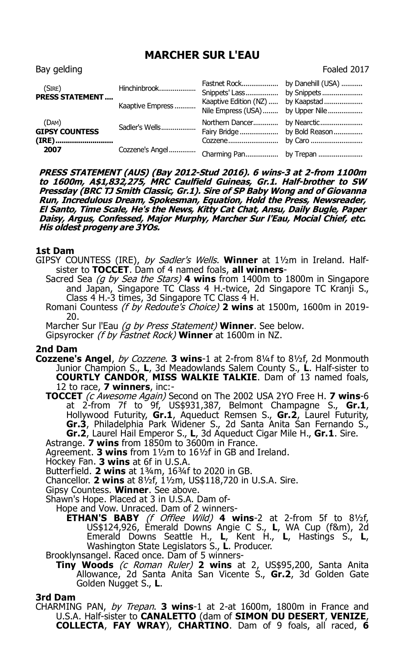# **MARCHER SUR L'EAU**

| (SIRE)<br><b>PRESS STATEMENT</b> | Hinchinbrook     | Fastnet Rock by Danehill (USA)                             |             |
|----------------------------------|------------------|------------------------------------------------------------|-------------|
|                                  | Kaaptive Empress | Kaaptive Edition (NZ)<br>Nile Empress (USA)  by Upper Nile | by Kaapstad |
| (DAM)<br><b>GIPSY COUNTESS</b>   | Sadler's Wells   | Northern Dancer                                            | by Nearctic |
| 2007                             | Cozzene's Angel  | Cozzene<br>Charming Pan by Trepan                          | by Caro     |

**PRESS STATEMENT (AUS) (Bay 2012-Stud 2016). 6 wins-3 at 2-from 1100m to 1600m, A\$1,832,275, MRC Caulfield Guineas, Gr.1. Half-brother to SW Pressday (BRC TJ Smith Classic, Gr.1). Sire of SP Baby Wong and of Giovanna Run, Incredulous Dream, Spokesman, Equation, Hold the Press, Newsreader, El Santo, Time Scale, He's the News, Kitty Cat Chat, Ansu, Daily Bugle, Paper Daisy, Argus, Confessed, Major Murphy, Marcher Sur l'Eau, Mocial Chief, etc. His oldest progeny are 3YOs.**

#### **1st Dam**

GIPSY COUNTESS (IRE), by Sadler's Wells. **Winner** at 1½m in Ireland. Halfsister to **TOCCET**. Dam of 4 named foals, **all winners**-

- Sacred Sea (g by Sea the Stars) **4 wins** from 1400m to 1800m in Singapore and Japan, Singapore TC Class 4 H.-twice, 2d Singapore TC Kranji S., Class 4 H.-3 times, 3d Singapore TC Class 4 H.
- Romani Countess (f by Redoute's Choice) **2 wins** at 1500m, 1600m in 2019- 20.
- Marcher Sur l'Eau (g by Press Statement) **Winner**. See below.

Gipsyrocker (f by Fastnet Rock) **Winner** at 1600m in NZ.

### **2nd Dam**

- **Cozzene's Angel**, by Cozzene. **3 wins**-1 at 2-from 8¼f to 8½f, 2d Monmouth Junior Champion S., **L**, 3d Meadowlands Salem County S., **L**. Half-sister to **COURTLY CANDOR**, **MISS WALKIE TALKIE**. Dam of 13 named foals, 12 to race, **7 winners**, inc:-
	- **TOCCET** (c Awesome Again) Second on The 2002 USA 2YO Free H. **7 wins**-6 at 2-from 7f to 9f, US\$931,387, Belmont Champagne S., **Gr.1**, Hollywood Futurity, **Gr.1**, Aqueduct Remsen S., **Gr.2**, Laurel Futurity, **Gr.3**, Philadelphia Park Widener S., 2d Santa Anita San Fernando S., **Gr.2**, Laurel Hail Emperor S., **L**, 3d Aqueduct Cigar Mile H., **Gr.1**. Sire.
	- Astrange. **7 wins** from 1850m to 3600m in France.
	- Agreement. **3 wins** from 1½m to 16½f in GB and Ireland.
	- Hockey Fan. **3 wins** at 6f in U.S.A.
	- Butterfield. **2 wins** at 1¾m, 16¾f to 2020 in GB.
	- Chancellor. **2 wins** at 8½f, 1½m, US\$118,720 in U.S.A. Sire.
	- Gipsy Countess. **Winner**. See above.
	- Shawn's Hope. Placed at 3 in U.S.A. Dam of-
	- Hope and Vow. Unraced. Dam of 2 winners-
		- **ETHAN'S BABY** (f Offlee Wild) **4 wins**-2 at 2-from 5f to 8½f, US\$124,926, Emerald Downs Angie C S., **L**, WA Cup (f&m), 2d Emerald Downs Seattle H., **L**, Kent H., **L**, Hastings S., **L**, Washington State Legislators S., **L**. Producer.
	- Brooklynsangel. Raced once. Dam of 5 winners-
		- **Tiny Woods** (c Roman Ruler) **2 wins** at 2, US\$95,200, Santa Anita Allowance, 2d Santa Anita San Vicente S., **Gr.2**, 3d Golden Gate Golden Nugget S., **L**.

#### **3rd Dam**

CHARMING PAN, by Trepan. **3 wins**-1 at 2-at 1600m, 1800m in France and U.S.A. Half-sister to **CANALETTO** (dam of **SIMON DU DESERT**, **VENIZE**, **COLLECTA**, **FAY WRAY**), **CHARTINO**. Dam of 9 foals, all raced, **6** 

## Bay gelding Foaled 2017